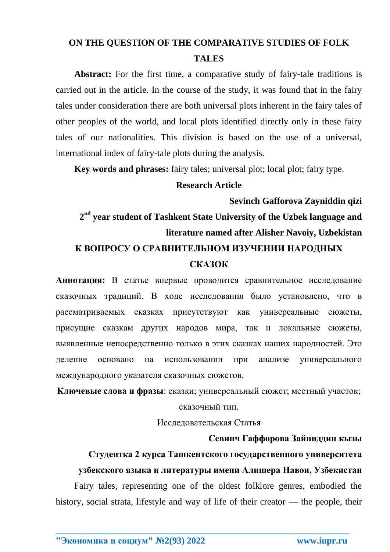## **ON THE QUESTION OF THE COMPARATIVE STUDIES OF FOLK TALES**

Abstract: For the first time, a comparative study of fairy-tale traditions is carried out in the article. In the course of the study, it was found that in the fairy tales under consideration there are both universal plots inherent in the fairy tales of other peoples of the world, and local plots identified directly only in these fairy tales of our nationalities. This division is based on the use of a universal, international index of fairy-tale plots during the analysis.

**Key words and phrases:** fairy tales; universal plot; local plot; fairy type.

#### **Research Article**

**Sevinch Gafforova Zayniddin qizi**

**2 nd year student of Tashkent State University of the Uzbek language and literature named after Alisher Navoiy, Uzbekistan**

## **К ВОПРОСУ О СРАВНИТЕЛЬНОМ ИЗУЧЕНИИ НАРОДНЫХ СКАЗОК**

**Аннотация:** В статье впервые проводится сравнительное исследование сказочных традиций. В ходе исследования было установлено, что в рассматриваемых сказках присутствуют как универсальные сюжеты, присущие сказкам других народов мира, так и локальные сюжеты, выявленные непосредственно только в этих сказках наших народностей. Это деление основано на использовании при анализе универсального международного указателя сказочных сюжетов.

**Ключевые слова и фразы**: сказки; универсальный сюжет; местный участок;

#### сказочный тип.

Исследовательская Статья

#### **Севинч Гаффорова Зайниддин кызы**

# **Студентка 2 курса Ташкентского государственного университета**

### **узбекского языка и литературы имени Алишера Навои, Узбекистан**

Fairy tales, representing one of the oldest folklore genres, embodied the history, social strata, lifestyle and way of life of their creator — the people, their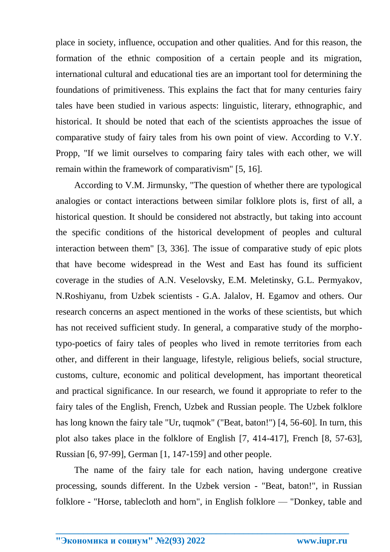place in society, influence, occupation and other qualities. And for this reason, the formation of the ethnic composition of a certain people and its migration, international cultural and educational ties are an important tool for determining the foundations of primitiveness. This explains the fact that for many centuries fairy tales have been studied in various aspects: linguistic, literary, ethnographic, and historical. It should be noted that each of the scientists approaches the issue of comparative study of fairy tales from his own point of view. According to V.Y. Propp, "If we limit ourselves to comparing fairy tales with each other, we will remain within the framework of comparativism" [5, 16].

According to V.M. Jirmunsky, "The question of whether there are typological analogies or contact interactions between similar folklore plots is, first of all, a historical question. It should be considered not abstractly, but taking into account the specific conditions of the historical development of peoples and cultural interaction between them" [3, 336]. The issue of comparative study of epic plots that have become widespread in the West and East has found its sufficient coverage in the studies of A.N. Veselovsky, E.M. Meletinsky, G.L. Permyakov, N.Roshiyanu, from Uzbek scientists - G.A. Jalalov, H. Egamov and others. Our research concerns an aspect mentioned in the works of these scientists, but which has not received sufficient study. In general, a comparative study of the morphotypo-poetics of fairy tales of peoples who lived in remote territories from each other, and different in their language, lifestyle, religious beliefs, social structure, customs, culture, economic and political development, has important theoretical and practical significance. In our research, we found it appropriate to refer to the fairy tales of the English, French, Uzbek and Russian people. The Uzbek folklore has long known the fairy tale "Ur, tuqmok" ("Beat, baton!") [4, 56-60]. In turn, this plot also takes place in the folklore of English [7, 414-417], French [8, 57-63], Russian [6, 97-99], German [1, 147-159] and other people.

The name of the fairy tale for each nation, having undergone creative processing, sounds different. In the Uzbek version - "Beat, baton!", in Russian folklore - "Horse, tablecloth and horn", in English folklore — "Donkey, table and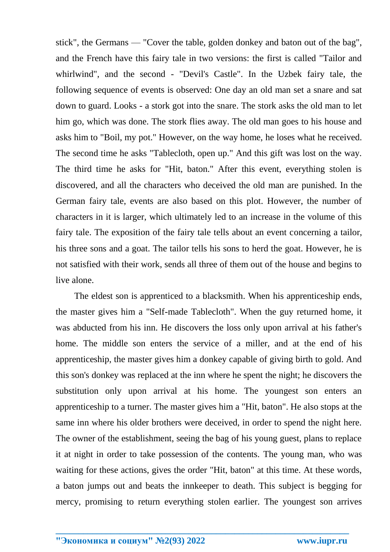stick", the Germans — "Cover the table, golden donkey and baton out of the bag", and the French have this fairy tale in two versions: the first is called "Tailor and whirlwind", and the second - "Devil's Castle". In the Uzbek fairy tale, the following sequence of events is observed: One day an old man set a snare and sat down to guard. Looks - a stork got into the snare. The stork asks the old man to let him go, which was done. The stork flies away. The old man goes to his house and asks him to "Boil, my pot." However, on the way home, he loses what he received. The second time he asks "Tablecloth, open up." And this gift was lost on the way. The third time he asks for "Hit, baton." After this event, everything stolen is discovered, and all the characters who deceived the old man are punished. In the German fairy tale, events are also based on this plot. However, the number of characters in it is larger, which ultimately led to an increase in the volume of this fairy tale. The exposition of the fairy tale tells about an event concerning a tailor, his three sons and a goat. The tailor tells his sons to herd the goat. However, he is not satisfied with their work, sends all three of them out of the house and begins to live alone.

The eldest son is apprenticed to a blacksmith. When his apprenticeship ends, the master gives him a "Self-made Tablecloth". When the guy returned home, it was abducted from his inn. He discovers the loss only upon arrival at his father's home. The middle son enters the service of a miller, and at the end of his apprenticeship, the master gives him a donkey capable of giving birth to gold. And this son's donkey was replaced at the inn where he spent the night; he discovers the substitution only upon arrival at his home. The youngest son enters an apprenticeship to a turner. The master gives him a "Hit, baton". He also stops at the same inn where his older brothers were deceived, in order to spend the night here. The owner of the establishment, seeing the bag of his young guest, plans to replace it at night in order to take possession of the contents. The young man, who was waiting for these actions, gives the order "Hit, baton" at this time. At these words, a baton jumps out and beats the innkeeper to death. This subject is begging for mercy, promising to return everything stolen earlier. The youngest son arrives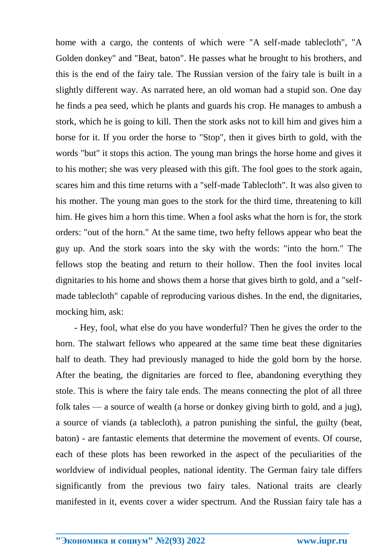home with a cargo, the contents of which were "A self-made tablecloth", "A Golden donkey" and "Beat, baton". He passes what he brought to his brothers, and this is the end of the fairy tale. The Russian version of the fairy tale is built in a slightly different way. As narrated here, an old woman had a stupid son. One day he finds a pea seed, which he plants and guards his crop. He manages to ambush a stork, which he is going to kill. Then the stork asks not to kill him and gives him a horse for it. If you order the horse to "Stop", then it gives birth to gold, with the words "but" it stops this action. The young man brings the horse home and gives it to his mother; she was very pleased with this gift. The fool goes to the stork again, scares him and this time returns with a "self-made Tablecloth". It was also given to his mother. The young man goes to the stork for the third time, threatening to kill him. He gives him a horn this time. When a fool asks what the horn is for, the stork orders: "out of the horn." At the same time, two hefty fellows appear who beat the guy up. And the stork soars into the sky with the words: "into the horn." The fellows stop the beating and return to their hollow. Then the fool invites local dignitaries to his home and shows them a horse that gives birth to gold, and a "selfmade tablecloth" capable of reproducing various dishes. In the end, the dignitaries, mocking him, ask:

- Hey, fool, what else do you have wonderful? Then he gives the order to the horn. The stalwart fellows who appeared at the same time beat these dignitaries half to death. They had previously managed to hide the gold born by the horse. After the beating, the dignitaries are forced to flee, abandoning everything they stole. This is where the fairy tale ends. The means connecting the plot of all three folk tales — a source of wealth (a horse or donkey giving birth to gold, and a jug), a source of viands (a tablecloth), a patron punishing the sinful, the guilty (beat, baton) - are fantastic elements that determine the movement of events. Of course, each of these plots has been reworked in the aspect of the peculiarities of the worldview of individual peoples, national identity. The German fairy tale differs significantly from the previous two fairy tales. National traits are clearly manifested in it, events cover a wider spectrum. And the Russian fairy tale has a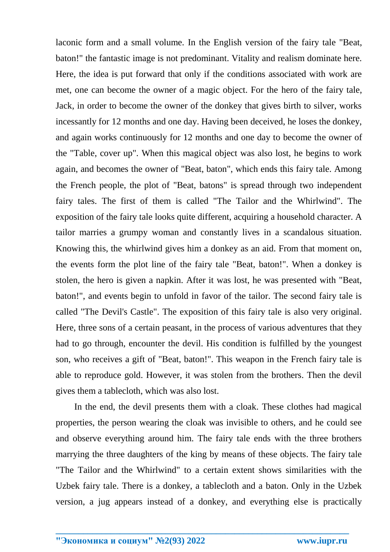laconic form and a small volume. In the English version of the fairy tale "Beat, baton!" the fantastic image is not predominant. Vitality and realism dominate here. Here, the idea is put forward that only if the conditions associated with work are met, one can become the owner of a magic object. For the hero of the fairy tale, Jack, in order to become the owner of the donkey that gives birth to silver, works incessantly for 12 months and one day. Having been deceived, he loses the donkey, and again works continuously for 12 months and one day to become the owner of the "Table, cover up". When this magical object was also lost, he begins to work again, and becomes the owner of "Beat, baton", which ends this fairy tale. Among the French people, the plot of "Beat, batons" is spread through two independent fairy tales. The first of them is called "The Tailor and the Whirlwind". The exposition of the fairy tale looks quite different, acquiring a household character. A tailor marries a grumpy woman and constantly lives in a scandalous situation. Knowing this, the whirlwind gives him a donkey as an aid. From that moment on, the events form the plot line of the fairy tale "Beat, baton!". When a donkey is stolen, the hero is given a napkin. After it was lost, he was presented with "Beat, baton!", and events begin to unfold in favor of the tailor. The second fairy tale is called "The Devil's Castle". The exposition of this fairy tale is also very original. Here, three sons of a certain peasant, in the process of various adventures that they had to go through, encounter the devil. His condition is fulfilled by the youngest son, who receives a gift of "Beat, baton!". This weapon in the French fairy tale is able to reproduce gold. However, it was stolen from the brothers. Then the devil gives them a tablecloth, which was also lost.

In the end, the devil presents them with a cloak. These clothes had magical properties, the person wearing the cloak was invisible to others, and he could see and observe everything around him. The fairy tale ends with the three brothers marrying the three daughters of the king by means of these objects. The fairy tale "The Tailor and the Whirlwind" to a certain extent shows similarities with the Uzbek fairy tale. There is a donkey, a tablecloth and a baton. Only in the Uzbek version, a jug appears instead of a donkey, and everything else is practically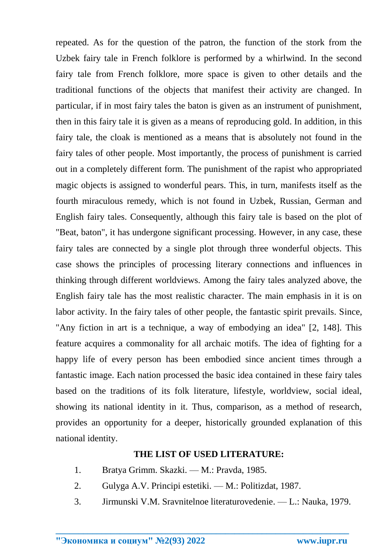repeated. As for the question of the patron, the function of the stork from the Uzbek fairy tale in French folklore is performed by a whirlwind. In the second fairy tale from French folklore, more space is given to other details and the traditional functions of the objects that manifest their activity are changed. In particular, if in most fairy tales the baton is given as an instrument of punishment, then in this fairy tale it is given as a means of reproducing gold. In addition, in this fairy tale, the cloak is mentioned as a means that is absolutely not found in the fairy tales of other people. Most importantly, the process of punishment is carried out in a completely different form. The punishment of the rapist who appropriated magic objects is assigned to wonderful pears. This, in turn, manifests itself as the fourth miraculous remedy, which is not found in Uzbek, Russian, German and English fairy tales. Consequently, although this fairy tale is based on the plot of "Beat, baton", it has undergone significant processing. However, in any case, these fairy tales are connected by a single plot through three wonderful objects. This case shows the principles of processing literary connections and influences in thinking through different worldviews. Among the fairy tales analyzed above, the English fairy tale has the most realistic character. The main emphasis in it is on labor activity. In the fairy tales of other people, the fantastic spirit prevails. Since, "Any fiction in art is a technique, a way of embodying an idea" [2, 148]. This feature acquires a commonality for all archaic motifs. The idea of fighting for a happy life of every person has been embodied since ancient times through a fantastic image. Each nation processed the basic idea contained in these fairy tales based on the traditions of its folk literature, lifestyle, worldview, social ideal, showing its national identity in it. Thus, comparison, as a method of research, provides an opportunity for a deeper, historically grounded explanation of this national identity.

#### **THE LIST OF USED LITERATURE:**

- 1. Bratya Grimm. Skazki. M.: Pravda, 1985.
- 2. Gulyga A.V. Principi estetiki. M.: Politizdat, 1987.
- 3. Jirmunski V.M. Sravnitelnoe literaturovedenie. L.: Nauka, 1979.